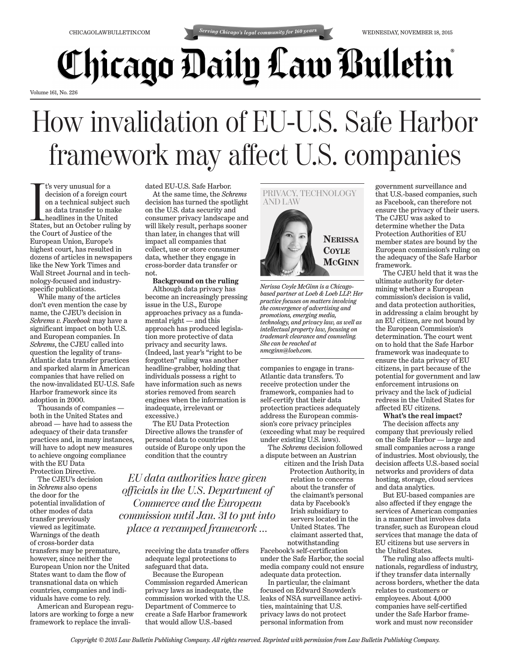

## **Chicago Daily Law Bulletin**

Volume 161, No. 226

## How invalidation of EU-U.S. Safe Harbor framework may affect U.S. companies

 $\begin{array}{l} \quad \text{t's very unusual for a} \\ \quad \text{decision of a foreign court} \\ \text{on a technical subject such as data transfer to make} \\ \quad \text{headlines in the United States, but an October ruling by} \end{array}$ t's very unusual for a decision of a foreign court on a technical subject such as data transfer to make headlines in the United the Court of Justice of the European Union, Europe's highest court, has resulted in dozens of articles in newspapers like the New York Times and Wall Street Journal and in technology-focused and industryspecific publications.

While many of the articles don't even mention the case by name, the CJEU's decision in *Schrems v. Facebook* may have a significant impact on both U.S. and European companies. In *Schrems*, the CJEU called into question the legality of trans-Atlantic data transfer practices and sparked alarm in American companies that have relied on the now-invalidated EU-U.S. Safe Harbor framework since its adoption in 2000.

Thousands of companies both in the United States and abroad — have had to assess the adequacy of their data transfer practices and, in many instances, will have to adopt new measures to achieve ongoing compliance with the EU Data Protection Directive.

The CJEU's decision in *Schrems* also opens the door for the potential invalidation of other modes of data transfer previously viewed as legitimate. Warnings of the death of cross-border data transfers may be premature, however, since neither the European Union nor the United States want to dam the flow of transnational data on which countries, companies and individuals have come to rely.

American and European regulators are working to forge a new framework to replace the invalidated EU-U.S. Safe Harbor.

At the same time, the *Schrems* decision has turned the spotlight on the U.S. data security and consumer privacy landscape and will likely result, perhaps sooner than later, in changes that will impact all companies that collect, use or store consumer data, whether they engage in cross-border data transfer or not.

## **Background on the ruling**

Although data privacy has become an increasingly pressing issue in the U.S., Europe approaches privacy as a fundamental right — and this approach has produced legislation more protective of data privacy and security laws. (Indeed, last year's "right to be forgotten" ruling was another headline-grabber, holding that individuals possess a right to have information such as news stories removed from search engines when the information is inadequate, irrelevant or excessive.)

The EU Data Protection Directive allows the transfer of personal data to countries outside of Europe only upon the condition that the country

*EU data authorities have given officials in the U.S. Department of Commerce and the European commission until Jan. 31 to put into place a revamped framework …*

> receiving the data transfer offers adequate legal protections to safeguard that data.

Because the European Commission regarded American privacy laws as inadequate, the commission worked with the U.S. Department of Commerce to create a Safe Harbor framework that would allow U.S.-based



*Nerissa Coyle McGinn is a Chicagobased partner at Loeb & Loeb LLP. Her practice focuses on matters involving the convergence of advertising and promotions, emerging media, technology, and privacy law, as well as intellectual property law, focusing on trademark clearance and counseling. She can be reached at nmcginn@loeb.com.*

companies to engage in trans-Atlantic data transfers. To receive protection under the framework, companies had to self-certify that their data protection practices adequately address the European commission's core privacy principles (exceeding what may be required under existing U.S. laws).

The *Schrems* decision followed a dispute between an Austrian

citizen and the Irish Data Protection Authority, in relation to concerns about the transfer of the claimant's personal data by Facebook's Irish subsidiary to servers located in the United States. The claimant asserted that, notwithstanding

Facebook's self-certification under the Safe Harbor, the social media company could not ensure adequate data protection.

In particular, the claimant focused on Edward Snowden's leaks of NSA surveillance activities, maintaining that U.S. privacy laws do not protect personal information from

government surveillance and that U.S.-based companies, such as Facebook, can therefore not ensure the privacy of their users. The CJEU was asked to determine whether the Data Protection Authorities of EU member states are bound by the European commission's ruling on the adequacy of the Safe Harbor framework.

The CJEU held that it was the ultimate authority for determining whether a European commission's decision is valid, and data protection authorities, in addressing a claim brought by an EU citizen, are not bound by the European Commission's determination. The court went on to hold that the Safe Harbor framework was inadequate to ensure the data privacy of EU citizens, in part because of the potential for government and law enforcement intrusions on privacy and the lack of judicial redress in the United States for affected EU citizens.

**What's the real impact?**

The decision affects any company that previously relied on the Safe Harbor — large and small companies across a range of industries. Most obviously, the decision affects U.S.-based social networks and providers of data hosting, storage, cloud services and data analytics.

But EU-based companies are also affected if they engage the services of American companies in a manner that involves data transfer, such as European cloud services that manage the data of EU citizens but use servers in the United States.

The ruling also affects multinationals, regardless of industry, if they transfer data internally across borders, whether the data relates to customers or employees. About 4,000 companies have self-certified under the Safe Harbor framework and must now reconsider